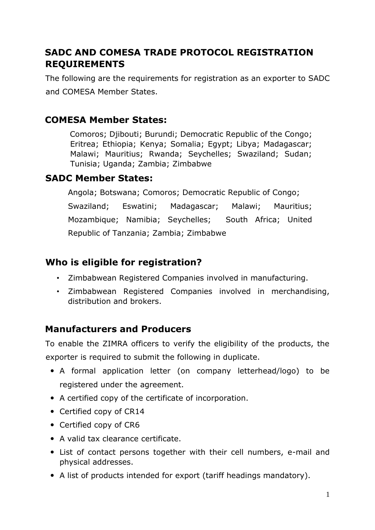# **SADC AND COMESA TRADE PROTOCOL REGISTRATION REQUIREMENTS**

The following are the requirements for registration as an exporter to SADC and COMESA Member States.

### **COMESA Member States:**

Comoros; Djibouti; Burundi; Democratic Republic of the Congo; Eritrea; Ethiopia; Kenya; Somalia; Egypt; Libya; Madagascar; Malawi; Mauritius; Rwanda; Seychelles; Swaziland; Sudan; Tunisia; Uganda; Zambia; Zimbabwe

### **SADC Member States:**

Angola; Botswana; Comoros; Democratic Republic of Congo; Swaziland; Eswatini; Madagascar; Malawi; Mauritius; Mozambique; Namibia; Seychelles; South Africa; United Republic of Tanzania; Zambia; Zimbabwe

## **Who is eligible for registration?**

- Zimbabwean Registered Companies involved in manufacturing.
- Zimbabwean Registered Companies involved in merchandising, distribution and brokers.

### **Manufacturers and Producers**

To enable the ZIMRA officers to verify the eligibility of the products, the exporter is required to submit the following in duplicate.

- A formal application letter (on company letterhead/logo) to be registered under the agreement.
- A certified copy of the certificate of incorporation.
- Certified copy of CR14
- Certified copy of CR6
- A valid tax clearance certificate.
- List of contact persons together with their cell numbers, e-mail and physical addresses.
- A list of products intended for export (tariff headings mandatory).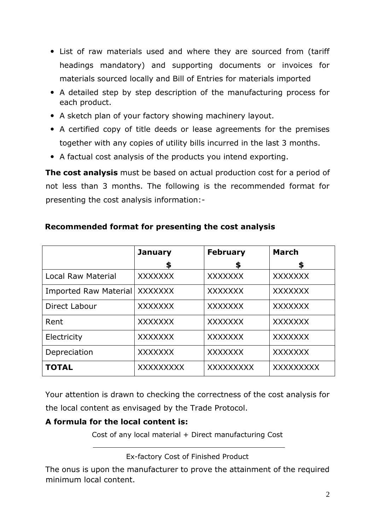- List of raw materials used and where they are sourced from (tariff headings mandatory) and supporting documents or invoices for materials sourced locally and Bill of Entries for materials imported
- A detailed step by step description of the manufacturing process for each product.
- A sketch plan of your factory showing machinery layout.
- A certified copy of title deeds or lease agreements for the premises together with any copies of utility bills incurred in the last 3 months.
- A factual cost analysis of the products you intend exporting.

**The cost analysis** must be based on actual production cost for a period of not less than 3 months. The following is the recommended format for presenting the cost analysis information:-

|                           | <b>January</b>   | <b>February</b> | <b>March</b>     |
|---------------------------|------------------|-----------------|------------------|
|                           | \$               | \$              | \$               |
| <b>Local Raw Material</b> | <b>XXXXXXX</b>   | <b>XXXXXXX</b>  | <b>XXXXXXX</b>   |
| Imported Raw Material     | <b>XXXXXXX</b>   | <b>XXXXXXX</b>  | <b>XXXXXXX</b>   |
| Direct Labour             | <b>XXXXXXX</b>   | <b>XXXXXXX</b>  | <b>XXXXXXX</b>   |
| Rent                      | <b>XXXXXXX</b>   | <b>XXXXXXX</b>  | <b>XXXXXXX</b>   |
| Electricity               | <b>XXXXXXX</b>   | <b>XXXXXXX</b>  | <b>XXXXXXX</b>   |
| Depreciation              | <b>XXXXXXX</b>   | <b>XXXXXXX</b>  | <b>XXXXXXX</b>   |
| <b>TOTAL</b>              | <b>XXXXXXXXX</b> | XXXXXXXXX       | <b>XXXXXXXXX</b> |

#### **Recommended format for presenting the cost analysis**

Your attention is drawn to checking the correctness of the cost analysis for the local content as envisaged by the Trade Protocol.

#### **A formula for the local content is:**

Cost of any local material + Direct manufacturing Cost

Ex-factory Cost of Finished Product

The onus is upon the manufacturer to prove the attainment of the required minimum local content.